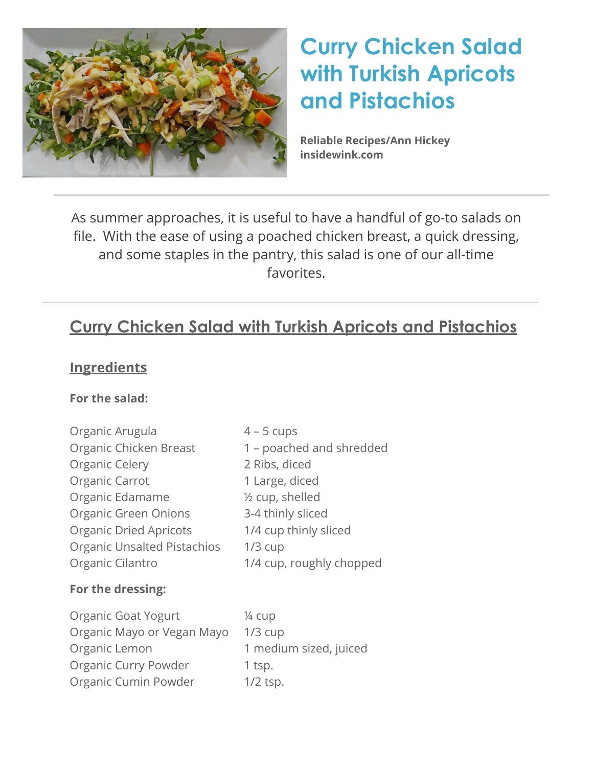

# **Curry Chicken Salad with Turkish Apricots and Pistachios**

**Reliable Recipes/Ann Hickey [insidewink.com](http://insidewink.com)**

As summer approaches, it is useful to have a handful of go-to salads on file. With the ease of using a poached chicken breast, a quick dressing, and some staples in the pantry, this salad is one of our all-time favorites.

# **Curry Chicken Salad with Turkish Apricots and Pistachios**

## **Ingredients**

#### **For the salad:**

| Organic Arugula                    | $4 - 5$ cups             |  |
|------------------------------------|--------------------------|--|
| Organic Chicken Breast             | 1 – poached and shredded |  |
| Organic Celery                     | 2 Ribs, diced            |  |
| Organic Carrot                     | 1 Large, diced           |  |
| Organic Edamame                    | 1/2 cup, shelled         |  |
| <b>Organic Green Onions</b>        | 3-4 thinly sliced        |  |
| <b>Organic Dried Apricots</b>      | 1/4 cup thinly sliced    |  |
| <b>Organic Unsalted Pistachios</b> | $1/3$ cup                |  |
| Organic Cilantro                   | 1/4 cup, roughly chopped |  |
| For the dressing:                  |                          |  |
| Organic Goat Yogurt                | 1⁄4 cup                  |  |
| Organic Mayo or Vegan Mayo         | $1/3$ cup                |  |
| Organic Lemon                      | 1 medium sized, juiced   |  |
| Organic Curry Powder               | 1 tsp.                   |  |
| Organic Cumin Powder               | $1/2$ tsp.               |  |